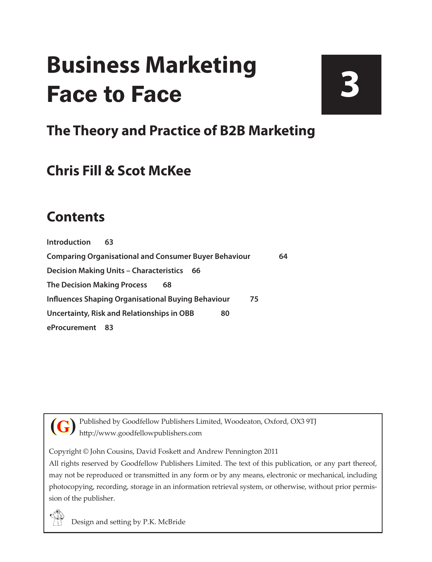# **Business Marketing** Face to Face

# **3**

# **The Theory and Practice of B2B Marketing**

# **Chris Fill & Scot McKee**

### **Contents**

**[Introduction](#page--1-0) 63 [Comparing Organisational and Consumer Buyer Behaviour](#page--1-0) 64 [Decision Making Units – Characteristics](#page--1-0) 66 [The Decision Making Process](#page--1-0) 68 [Influences Shaping Organisational Buying Behaviour](#page--1-0) 75 [Uncertainty, Risk and Relationships in OBB](#page--1-0) 80 [eProcurement 83](#page--1-0)**

Published by Goodfellow Publishers Limited, Woodeaton, Oxford, OX3 9TJ http://www.goodfellowpublishers.com **(G)**

Copyright © John Cousins, David Foskett and Andrew Pennington 2011

All rights reserved by Goodfellow Publishers Limited. The text of this publication, or any part thereof, may not be reproduced or transmitted in any form or by any means, electronic or mechanical, including photocopying, recording, storage in an information retrieval system, or otherwise, without prior permission of the publisher.

Design and setting by P.K. McBride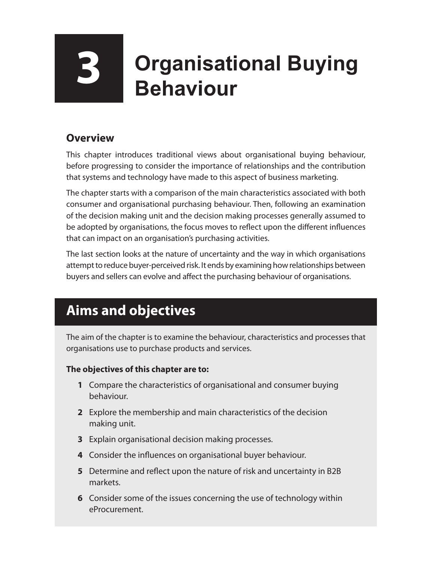# **3 Organisational Buying Behaviour**

#### **Overview**

This chapter introduces traditional views about organisational buying behaviour, before progressing to consider the importance of relationships and the contribution that systems and technology have made to this aspect of business marketing.

The chapter starts with a comparison of the main characteristics associated with both consumer and organisational purchasing behaviour. Then, following an examination of the decision making unit and the decision making processes generally assumed to be adopted by organisations, the focus moves to reflect upon the different influences that can impact on an organisation's purchasing activities.

The last section looks at the nature of uncertainty and the way in which organisations attempt to reduce buyer-perceived risk. It ends by examining how relationships between buyers and sellers can evolve and affect the purchasing behaviour of organisations.

# **Aims and objectives**

The aim of the chapter is to examine the behaviour, characteristics and processes that organisations use to purchase products and services.

#### **The objectives of this chapter are to:**

- **1** Compare the characteristics of organisational and consumer buying behaviour.
- **2** Explore the membership and main characteristics of the decision making unit.
- **3** Explain organisational decision making processes.
- **4** Consider the influences on organisational buyer behaviour.
- **5** Determine and reflect upon the nature of risk and uncertainty in B2B markets.
- **6** Consider some of the issues concerning the use of technology within eProcurement.